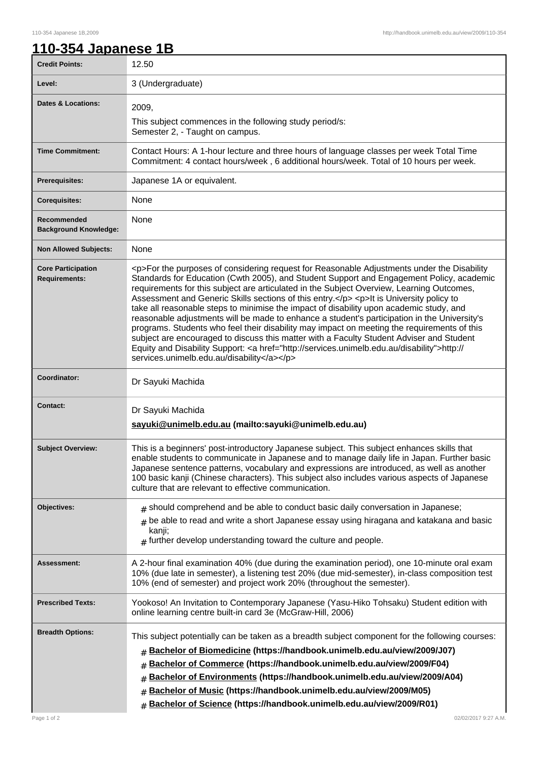## **110-354 Japanese 1B**

| <b>Credit Points:</b>                             | 12.50                                                                                                                                                                                                                                                                                                                                                                                                                                                                                                                                                                                                                                                                                                                                                                                                                                                                                                                        |
|---------------------------------------------------|------------------------------------------------------------------------------------------------------------------------------------------------------------------------------------------------------------------------------------------------------------------------------------------------------------------------------------------------------------------------------------------------------------------------------------------------------------------------------------------------------------------------------------------------------------------------------------------------------------------------------------------------------------------------------------------------------------------------------------------------------------------------------------------------------------------------------------------------------------------------------------------------------------------------------|
| Level:                                            | 3 (Undergraduate)                                                                                                                                                                                                                                                                                                                                                                                                                                                                                                                                                                                                                                                                                                                                                                                                                                                                                                            |
| <b>Dates &amp; Locations:</b>                     | 2009,<br>This subject commences in the following study period/s:<br>Semester 2, - Taught on campus.                                                                                                                                                                                                                                                                                                                                                                                                                                                                                                                                                                                                                                                                                                                                                                                                                          |
| <b>Time Commitment:</b>                           | Contact Hours: A 1-hour lecture and three hours of language classes per week Total Time<br>Commitment: 4 contact hours/week, 6 additional hours/week. Total of 10 hours per week.                                                                                                                                                                                                                                                                                                                                                                                                                                                                                                                                                                                                                                                                                                                                            |
| Prerequisites:                                    | Japanese 1A or equivalent.                                                                                                                                                                                                                                                                                                                                                                                                                                                                                                                                                                                                                                                                                                                                                                                                                                                                                                   |
| <b>Corequisites:</b>                              | None                                                                                                                                                                                                                                                                                                                                                                                                                                                                                                                                                                                                                                                                                                                                                                                                                                                                                                                         |
| Recommended<br><b>Background Knowledge:</b>       | None                                                                                                                                                                                                                                                                                                                                                                                                                                                                                                                                                                                                                                                                                                                                                                                                                                                                                                                         |
| <b>Non Allowed Subjects:</b>                      | None                                                                                                                                                                                                                                                                                                                                                                                                                                                                                                                                                                                                                                                                                                                                                                                                                                                                                                                         |
| <b>Core Participation</b><br><b>Requirements:</b> | <p>For the purposes of considering request for Reasonable Adjustments under the Disability<br/>Standards for Education (Cwth 2005), and Student Support and Engagement Policy, academic<br/>requirements for this subject are articulated in the Subject Overview, Learning Outcomes,<br/>Assessment and Generic Skills sections of this entry.</p> <p>lt is University policy to<br/>take all reasonable steps to minimise the impact of disability upon academic study, and<br/>reasonable adjustments will be made to enhance a student's participation in the University's<br/>programs. Students who feel their disability may impact on meeting the requirements of this<br/>subject are encouraged to discuss this matter with a Faculty Student Adviser and Student<br/>Equity and Disability Support: &lt; a href="http://services.unimelb.edu.au/disability"&gt;http://<br/>services.unimelb.edu.au/disability</p> |
| Coordinator:                                      | Dr Sayuki Machida                                                                                                                                                                                                                                                                                                                                                                                                                                                                                                                                                                                                                                                                                                                                                                                                                                                                                                            |
| <b>Contact:</b>                                   | Dr Sayuki Machida<br>sayuki@unimelb.edu.au (mailto:sayuki@unimelb.edu.au)                                                                                                                                                                                                                                                                                                                                                                                                                                                                                                                                                                                                                                                                                                                                                                                                                                                    |
| <b>Subject Overview:</b>                          | This is a beginners' post-introductory Japanese subject. This subject enhances skills that<br>enable students to communicate in Japanese and to manage daily life in Japan. Further basic<br>Japanese sentence patterns, vocabulary and expressions are introduced, as well as another<br>100 basic kanji (Chinese characters). This subject also includes various aspects of Japanese<br>culture that are relevant to effective communication.                                                                                                                                                                                                                                                                                                                                                                                                                                                                              |
| <b>Objectives:</b>                                | $#$ should comprehend and be able to conduct basic daily conversation in Japanese;<br>be able to read and write a short Japanese essay using hiragana and katakana and basic<br>kanji;<br>$#$ further develop understanding toward the culture and people.                                                                                                                                                                                                                                                                                                                                                                                                                                                                                                                                                                                                                                                                   |
| Assessment:                                       | A 2-hour final examination 40% (due during the examination period), one 10-minute oral exam<br>10% (due late in semester), a listening test 20% (due mid-semester), in-class composition test<br>10% (end of semester) and project work 20% (throughout the semester).                                                                                                                                                                                                                                                                                                                                                                                                                                                                                                                                                                                                                                                       |
| <b>Prescribed Texts:</b>                          | Yookoso! An Invitation to Contemporary Japanese (Yasu-Hiko Tohsaku) Student edition with<br>online learning centre built-in card 3e (McGraw-Hill, 2006)                                                                                                                                                                                                                                                                                                                                                                                                                                                                                                                                                                                                                                                                                                                                                                      |
| <b>Breadth Options:</b>                           | This subject potentially can be taken as a breadth subject component for the following courses:<br>Bachelor of Biomedicine (https://handbook.unimelb.edu.au/view/2009/J07)<br>Bachelor of Commerce (https://handbook.unimelb.edu.au/view/2009/F04)<br>#<br>Bachelor of Environments (https://handbook.unimelb.edu.au/view/2009/A04)<br>#<br>Bachelor of Music (https://handbook.unimelb.edu.au/view/2009/M05)<br>#<br>Bachelor of Science (https://handbook.unimelb.edu.au/view/2009/R01)<br>#                                                                                                                                                                                                                                                                                                                                                                                                                               |